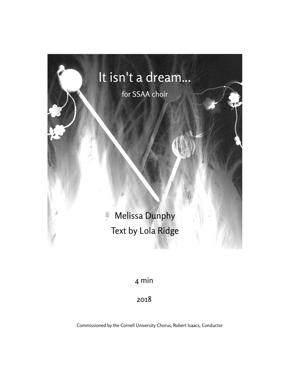

4 min

2018

Commissioned by the Cornell University Chorus, Robert Isaacs, Conductor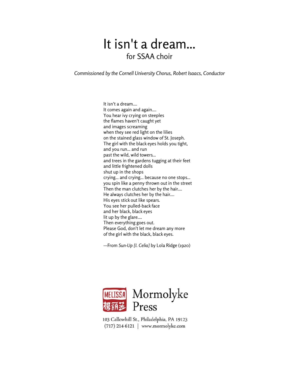## It isn't a dream... for SSAA choir

*Commissioned by the Cornell University Chorus, Robert Isaacs, Conductor*

It isn't a dream.... It comes again and again.... You hear ivy crying on steeples the flames haven't caught yet and images screaming when they see red light on the lilies on the stained glass window of St. Joseph. The girl with the black eyes holds you tight, and you run... and run past the wild, wild towers... and trees in the gardens tugging at their feet and little frightened dolls shut up in the shops crying... and crying... because no one stops... you spin like a penny thrown out in the street Then the man clutches her by the hair.... He always clutches her by the hair.... His eyes stick out like spears. You see her pulled-back face and her black, black eyes lit up by the glare.... Then everything goes out. Please God, don't let me dream any more of the girl with the black, black eyes.

—From *Sun-Up [I. Celia]* by Lola Ridge (1920)



103 Callowhill St., Philadelphia, PA 19123 (717) 214-6121 | www.mormolyke.com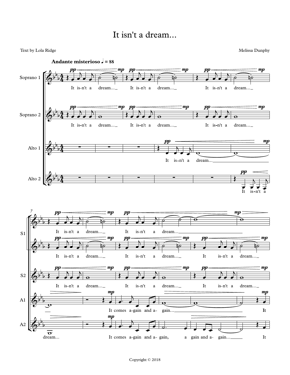## It isn't a dream...

Text by Lola Ridge Melissa Dunphy

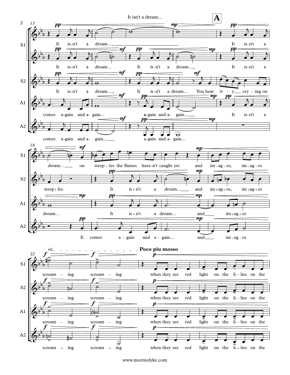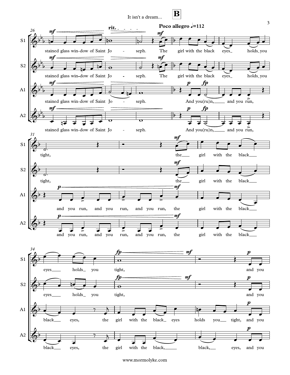It isn't a dream...

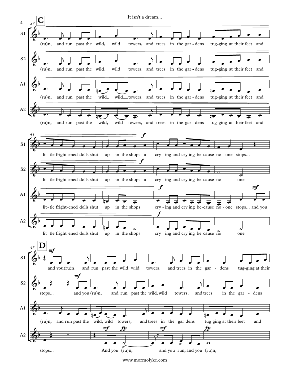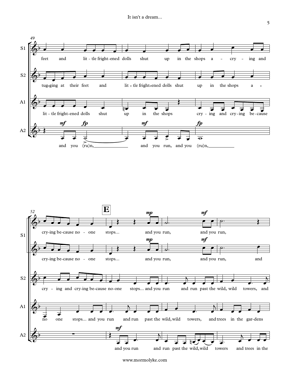

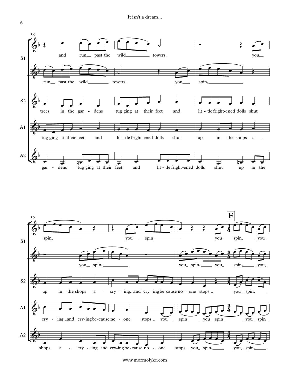



www.mormolyke.com

6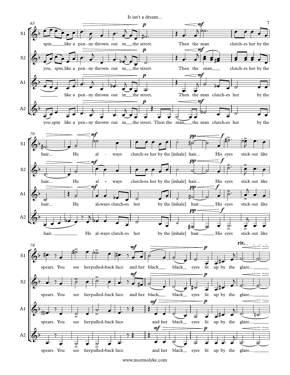It isn't a dream...